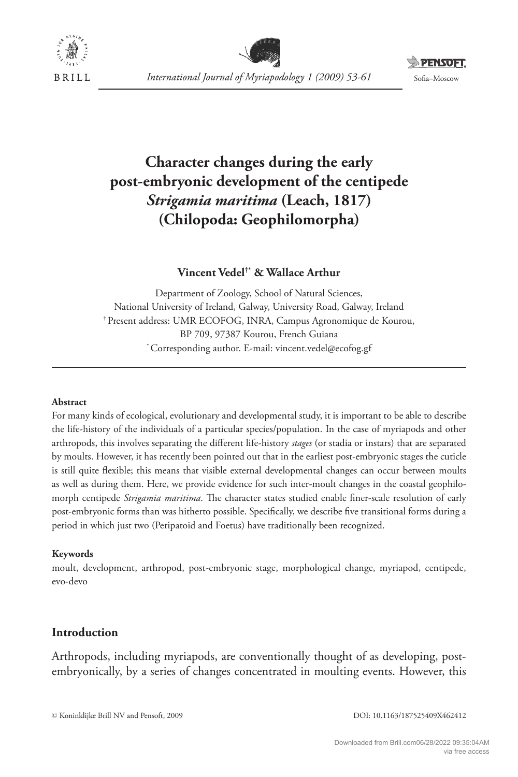





# **Character changes during the early post-embryonic development of the centipede**  *Strigamia maritima* **(Leach, 1817) (Chilopoda: Geophilomorpha)**

## **Vincent Vedel†\* & Wallace Arthur**

Department of Zoology, School of Natural Sciences, National University of Ireland, Galway, University Road, Galway, Ireland † Present address: UMR ECOFOG, INRA, Campus Agronomique de Kourou, BP 709, 97387 Kourou, French Guiana \* Corresponding author. E-mail: vincent.vedel@ecofog.gf

#### **Abstract**

For many kinds of ecological, evolutionary and developmental study, it is important to be able to describe the life-history of the individuals of a particular species/population. In the case of myriapods and other arthropods, this involves separating the different life-history *stages* (or stadia or instars) that are separated by moults. However, it has recently been pointed out that in the earliest post-embryonic stages the cuticle is still quite flexible; this means that visible external developmental changes can occur between moults as well as during them. Here, we provide evidence for such inter-moult changes in the coastal geophilomorph centipede *Strigamia maritima*. The character states studied enable finer-scale resolution of early post-embryonic forms than was hitherto possible. Specifically, we describe five transitional forms during a period in which just two (Peripatoid and Foetus) have traditionally been recognized.

#### **Keywords**

moult, development, arthropod, post-embryonic stage, morphological change, myriapod, centipede, evo-devo

## **Introduction**

Arthropods, including myriapods, are conventionally thought of as developing, postembryonically, by a series of changes concentrated in moulting events. However, this

© Koninklijke Brill NV and Pensoft, 2009 DOI: 10.1163/187525409X462412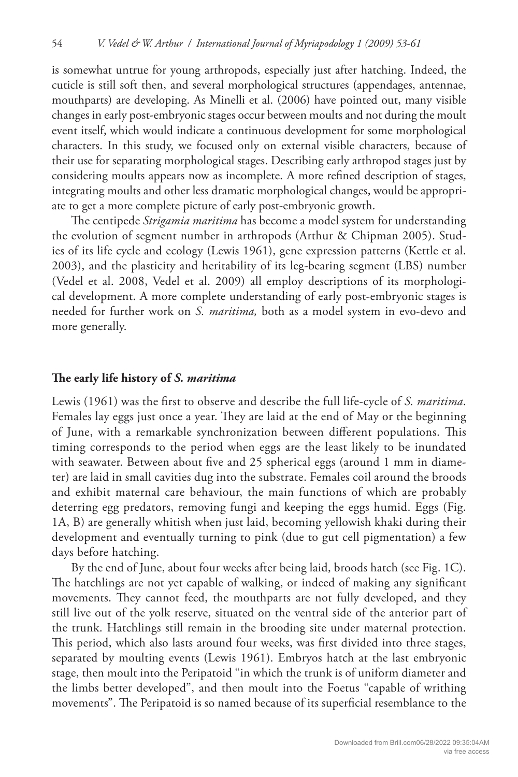is somewhat untrue for young arthropods, especially just after hatching. Indeed, the cuticle is still soft then, and several morphological structures (appendages, antennae, mouthparts) are developing. As Minelli et al. (2006) have pointed out, many visible changes in early post-embryonic stages occur between moults and not during the moult event itself, which would indicate a continuous development for some morphological characters. In this study, we focused only on external visible characters, because of their use for separating morphological stages. Describing early arthropod stages just by considering moults appears now as incomplete. A more refined description of stages, integrating moults and other less dramatic morphological changes, would be appropriate to get a more complete picture of early post-embryonic growth.

The centipede *Strigamia maritima* has become a model system for understanding the evolution of segment number in arthropods (Arthur & Chipman 2005). Studies of its life cycle and ecology (Lewis 1961), gene expression patterns (Kettle et al. 2003), and the plasticity and heritability of its leg-bearing segment (LBS) number (Vedel et al. 2008, Vedel et al. 2009) all employ descriptions of its morphological development. A more complete understanding of early post-embryonic stages is needed for further work on *S. maritima,* both as a model system in evo-devo and more generally.

### The early life history of *S. maritima*

Lewis (1961) was the first to observe and describe the full life-cycle of *S. maritima*. Females lay eggs just once a year. They are laid at the end of May or the beginning of June, with a remarkable synchronization between different populations. This timing corresponds to the period when eggs are the least likely to be inundated with seawater. Between about five and 25 spherical eggs (around 1 mm in diameter) are laid in small cavities dug into the substrate. Females coil around the broods and exhibit maternal care behaviour, the main functions of which are probably deterring egg predators, removing fungi and keeping the eggs humid. Eggs (Fig. 1A, B) are generally whitish when just laid, becoming yellowish khaki during their development and eventually turning to pink (due to gut cell pigmentation) a few days before hatching.

By the end of June, about four weeks after being laid, broods hatch (see Fig. 1C). The hatchlings are not yet capable of walking, or indeed of making any significant movements. They cannot feed, the mouthparts are not fully developed, and they still live out of the yolk reserve, situated on the ventral side of the anterior part of the trunk. Hatchlings still remain in the brooding site under maternal protection. This period, which also lasts around four weeks, was first divided into three stages, separated by moulting events (Lewis 1961). Embryos hatch at the last embryonic stage, then moult into the Peripatoid "in which the trunk is of uniform diameter and the limbs better developed", and then moult into the Foetus "capable of writhing movements". The Peripatoid is so named because of its superficial resemblance to the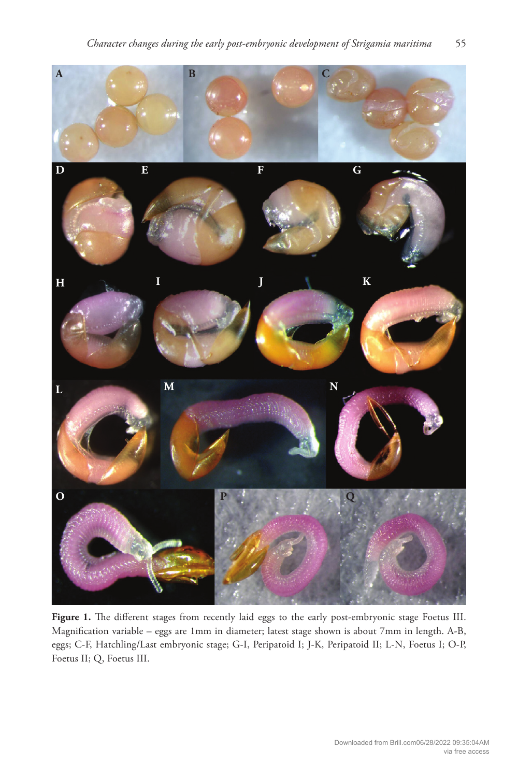

Figure 1. The different stages from recently laid eggs to the early post-embryonic stage Foetus III. Magnification variable - eggs are 1mm in diameter; latest stage shown is about 7mm in length. A-B, eggs; C-F, Hatchling/Last embryonic stage; G-I, Peripatoid I; J-K, Peripatoid II; L-N, Foetus I; O-P, Foetus II; Q, Foetus III.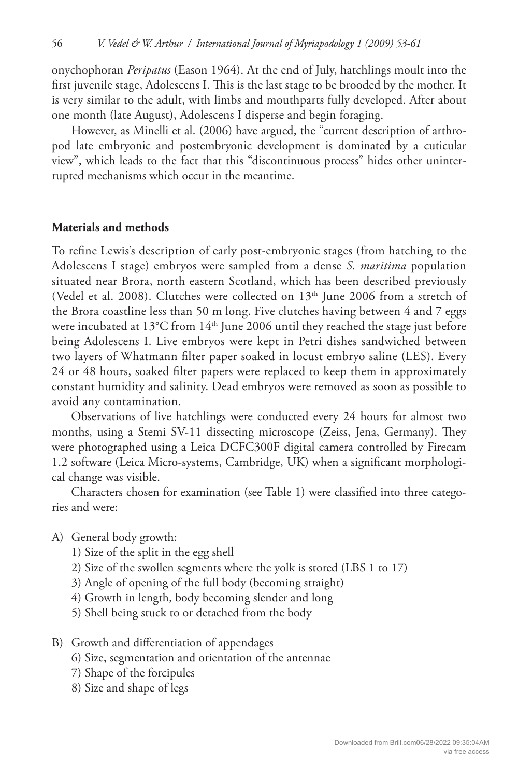onychophoran *Peripatus* (Eason 1964). At the end of July, hatchlings moult into the first juvenile stage, Adolescens I. This is the last stage to be brooded by the mother. It is very similar to the adult, with limbs and mouthparts fully developed. After about one month (late August), Adolescens I disperse and begin foraging.

However, as Minelli et al. (2006) have argued, the "current description of arthropod late embryonic and postembryonic development is dominated by a cuticular view", which leads to the fact that this "discontinuous process" hides other uninterrupted mechanisms which occur in the meantime.

#### **Materials and methods**

To refine Lewis's description of early post-embryonic stages (from hatching to the Adolescens I stage) embryos were sampled from a dense *S. maritima* population situated near Brora, north eastern Scotland, which has been described previously (Vedel et al. 2008). Clutches were collected on  $13<sup>th</sup>$  June 2006 from a stretch of the Brora coastline less than 50 m long. Five clutches having between 4 and 7 eggs were incubated at 13°C from 14<sup>th</sup> June 2006 until they reached the stage just before being Adolescens I. Live embryos were kept in Petri dishes sandwiched between two layers of Whatmann filter paper soaked in locust embryo saline (LES). Every 24 or 48 hours, soaked filter papers were replaced to keep them in approximately constant humidity and salinity. Dead embryos were removed as soon as possible to avoid any contamination.

Observations of live hatchlings were conducted every 24 hours for almost two months, using a Stemi SV-11 dissecting microscope (Zeiss, Jena, Germany). They were photographed using a Leica DCFC300F digital camera controlled by Firecam 1.2 software (Leica Micro-systems, Cambridge, UK) when a significant morphological change was visible.

Characters chosen for examination (see Table 1) were classified into three categories and were:

- A) General body growth:
	- 1) Size of the split in the egg shell
	- 2) Size of the swollen segments where the yolk is stored (LBS 1 to 17)
	- 3) Angle of opening of the full body (becoming straight)
	- 4) Growth in length, body becoming slender and long
	- 5) Shell being stuck to or detached from the body
- B) Growth and differentiation of appendages
	- 6) Size, segmentation and orientation of the antennae
	- 7) Shape of the forcipules
	- 8) Size and shape of legs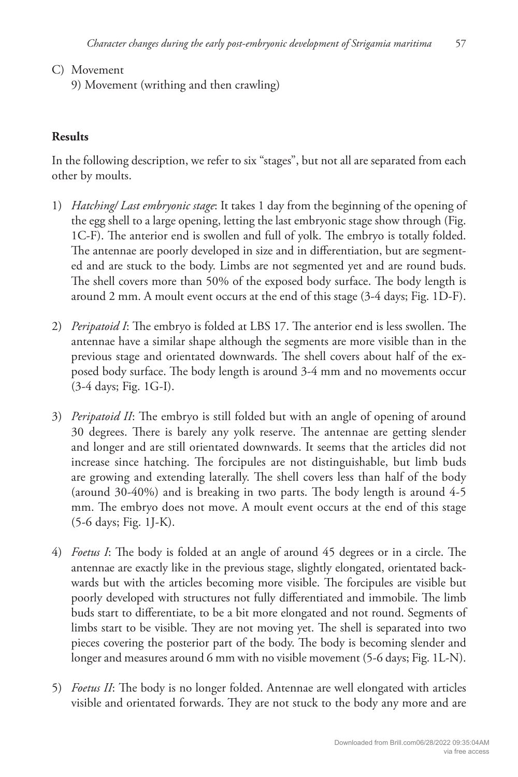- C) Movement
	- 9) Movement (writhing and then crawling)

## **Results**

In the following description, we refer to six "stages", but not all are separated from each other by moults.

- 1) *Hatching/ Last embryonic stage*: It takes 1 day from the beginning of the opening of the egg shell to a large opening, letting the last embryonic stage show through (Fig. 1C-F). The anterior end is swollen and full of yolk. The embryo is totally folded. The antennae are poorly developed in size and in differentiation, but are segmented and are stuck to the body. Limbs are not segmented yet and are round buds. The shell covers more than 50% of the exposed body surface. The body length is around 2 mm. A moult event occurs at the end of this stage (3-4 days; Fig. 1D-F).
- 2) *Peripatoid I*: The embryo is folded at LBS 17. The anterior end is less swollen. The antennae have a similar shape although the segments are more visible than in the previous stage and orientated downwards. The shell covers about half of the exposed body surface. The body length is around 3-4 mm and no movements occur (3-4 days; Fig. 1G-I).
- 3) *Peripatoid II*: The embryo is still folded but with an angle of opening of around 30 degrees. There is barely any yolk reserve. The antennae are getting slender and longer and are still orientated downwards. It seems that the articles did not increase since hatching. The forcipules are not distinguishable, but limb buds are growing and extending laterally. The shell covers less than half of the body (around  $30-40%$ ) and is breaking in two parts. The body length is around  $4-5$ mm. The embryo does not move. A moult event occurs at the end of this stage (5-6 days; Fig. 1J-K).
- 4) *Foetus I*: The body is folded at an angle of around 45 degrees or in a circle. The antennae are exactly like in the previous stage, slightly elongated, orientated backwards but with the articles becoming more visible. The forcipules are visible but poorly developed with structures not fully differentiated and immobile. The limb buds start to differentiate, to be a bit more elongated and not round. Segments of limbs start to be visible. They are not moving yet. The shell is separated into two pieces covering the posterior part of the body. The body is becoming slender and longer and measures around 6 mm with no visible movement (5-6 days; Fig. 1L-N).
- 5) *Foetus II*: The body is no longer folded. Antennae are well elongated with articles visible and orientated forwards. They are not stuck to the body any more and are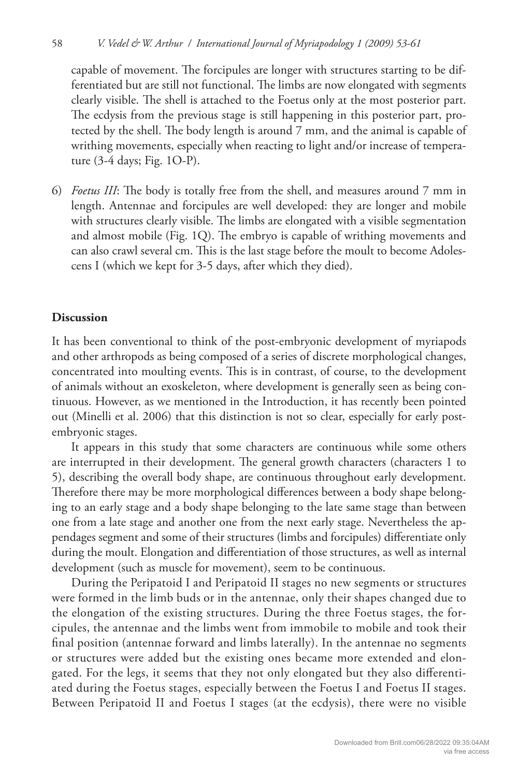capable of movement. The forcipules are longer with structures starting to be differentiated but are still not functional. The limbs are now elongated with segments clearly visible. The shell is attached to the Foetus only at the most posterior part. The ecdysis from the previous stage is still happening in this posterior part, protected by the shell. The body length is around 7 mm, and the animal is capable of writhing movements, especially when reacting to light and/or increase of temperature (3-4 days; Fig. 1O-P).

6) *Foetus III*: The body is totally free from the shell, and measures around 7 mm in length. Antennae and forcipules are well developed: they are longer and mobile with structures clearly visible. The limbs are elongated with a visible segmentation and almost mobile (Fig. 1Q). The embryo is capable of writhing movements and can also crawl several cm. This is the last stage before the moult to become Adolescens I (which we kept for 3-5 days, after which they died).

## **Discussion**

It has been conventional to think of the post-embryonic development of myriapods and other arthropods as being composed of a series of discrete morphological changes, concentrated into moulting events. This is in contrast, of course, to the development of animals without an exoskeleton, where development is generally seen as being continuous. However, as we mentioned in the Introduction, it has recently been pointed out (Minelli et al. 2006) that this distinction is not so clear, especially for early postembryonic stages.

It appears in this study that some characters are continuous while some others are interrupted in their development. The general growth characters (characters 1 to 5), describing the overall body shape, are continuous throughout early development. Therefore there may be more morphological differences between a body shape belonging to an early stage and a body shape belonging to the late same stage than between one from a late stage and another one from the next early stage. Nevertheless the appendages segment and some of their structures (limbs and forcipules) differentiate only during the moult. Elongation and differentiation of those structures, as well as internal development (such as muscle for movement), seem to be continuous.

During the Peripatoid I and Peripatoid II stages no new segments or structures were formed in the limb buds or in the antennae, only their shapes changed due to the elongation of the existing structures. During the three Foetus stages, the forcipules, the antennae and the limbs went from immobile to mobile and took their final position (antennae forward and limbs laterally). In the antennae no segments or structures were added but the existing ones became more extended and elongated. For the legs, it seems that they not only elongated but they also differentiated during the Foetus stages, especially between the Foetus I and Foetus II stages. Between Peripatoid II and Foetus I stages (at the ecdysis), there were no visible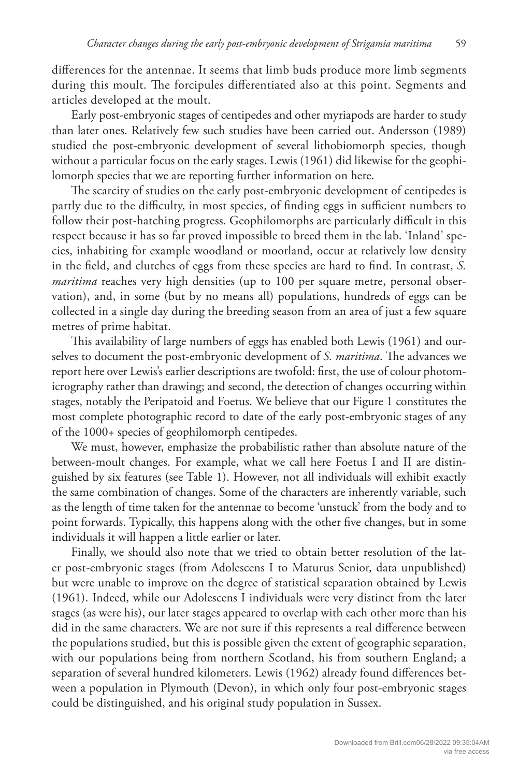differences for the antennae. It seems that limb buds produce more limb segments during this moult. The forcipules differentiated also at this point. Segments and articles developed at the moult.

Early post-embryonic stages of centipedes and other myriapods are harder to study than later ones. Relatively few such studies have been carried out. Andersson (1989) studied the post-embryonic development of several lithobiomorph species, though without a particular focus on the early stages. Lewis (1961) did likewise for the geophilomorph species that we are reporting further information on here.

The scarcity of studies on the early post-embryonic development of centipedes is partly due to the difficulty, in most species, of finding eggs in sufficient numbers to follow their post-hatching progress. Geophilomorphs are particularly difficult in this respect because it has so far proved impossible to breed them in the lab. 'Inland' species, inhabiting for example woodland or moorland, occur at relatively low density in the field, and clutches of eggs from these species are hard to find. In contrast, *S. maritima* reaches very high densities (up to 100 per square metre, personal observation), and, in some (but by no means all) populations, hundreds of eggs can be collected in a single day during the breeding season from an area of just a few square metres of prime habitat.

This availability of large numbers of eggs has enabled both Lewis (1961) and ourselves to document the post-embryonic development of *S. maritima*. The advances we report here over Lewis's earlier descriptions are twofold: first, the use of colour photomicrography rather than drawing; and second, the detection of changes occurring within stages, notably the Peripatoid and Foetus. We believe that our Figure 1 constitutes the most complete photographic record to date of the early post-embryonic stages of any of the 1000+ species of geophilomorph centipedes.

We must, however, emphasize the probabilistic rather than absolute nature of the between-moult changes. For example, what we call here Foetus I and II are distinguished by six features (see Table 1). However, not all individuals will exhibit exactly the same combination of changes. Some of the characters are inherently variable, such as the length of time taken for the antennae to become 'unstuck' from the body and to point forwards. Typically, this happens along with the other five changes, but in some individuals it will happen a little earlier or later.

Finally, we should also note that we tried to obtain better resolution of the later post-embryonic stages (from Adolescens I to Maturus Senior, data unpublished) but were unable to improve on the degree of statistical separation obtained by Lewis (1961). Indeed, while our Adolescens I individuals were very distinct from the later stages (as were his), our later stages appeared to overlap with each other more than his did in the same characters. We are not sure if this represents a real difference between the populations studied, but this is possible given the extent of geographic separation, with our populations being from northern Scotland, his from southern England; a separation of several hundred kilometers. Lewis (1962) already found differences between a population in Plymouth (Devon), in which only four post-embryonic stages could be distinguished, and his original study population in Sussex.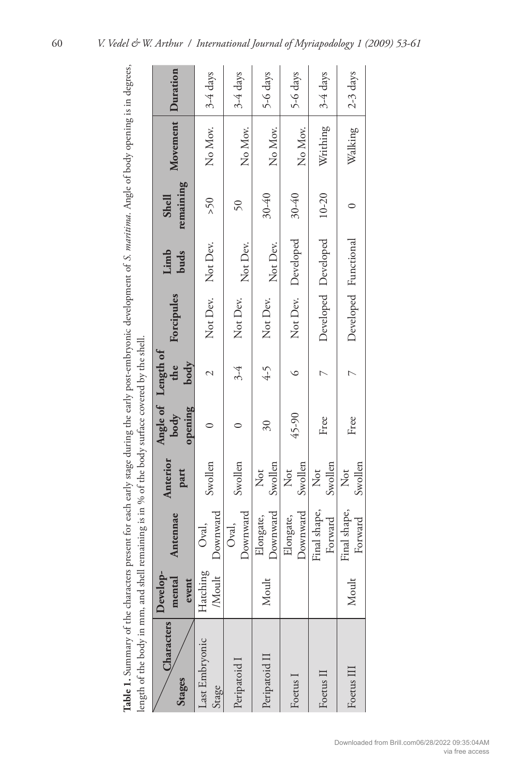| Table 1. Summary of the characters present for each early stage during the early post-embryonic development of S. maritima. Angle of body opening is in degrees,<br>length of the body in mm, and shell remaining is in % of the body surface covered by the shell. |                                   |                         |                  |                          |                                   |                      |                           |                           |                   |            |
|---------------------------------------------------------------------------------------------------------------------------------------------------------------------------------------------------------------------------------------------------------------------|-----------------------------------|-------------------------|------------------|--------------------------|-----------------------------------|----------------------|---------------------------|---------------------------|-------------------|------------|
| Characters<br>Stages                                                                                                                                                                                                                                                | $\bf D$ evelop<br>mental<br>event | Antennae                | Anterior<br>part | opening<br>body          | Angle of Length of<br>the<br>body | Forcipules           | Limb<br>buds              | remaining<br><b>Shell</b> | Movement Duration |            |
| Last Embryonic<br>Stage                                                                                                                                                                                                                                             | Hatching<br><b>Moult</b>          | Downward<br>Oval,       | Swollen          |                          | $\overline{\mathcal{C}}$          | Not Dev. Not Dev.    |                           | 50<                       | No Mov.           | 3-4 days   |
| Peripatoid I                                                                                                                                                                                                                                                        |                                   | Downward<br>Oval,       | Swollen          |                          | $3-4$                             | Not Dev.             | Not Dev.                  | $\delta$                  | No Mov.           | 3-4 days   |
| Peripatoid II                                                                                                                                                                                                                                                       | Moult                             | Downward<br>Elongate,   | Swollen<br>Not   | $\overline{\mathcal{E}}$ | $4 - 5$                           | Not Dev.             | Not Dev.                  | 30-40                     | No Mov.           | 5-6 days   |
| Foetus I                                                                                                                                                                                                                                                            |                                   | Downward<br>Elongate,   | Swollen<br>Not   | 45-90                    |                                   |                      | Not Dev. Developed        | $30 - 40$                 | No Mov.           | 5-6 days   |
| Foetus II                                                                                                                                                                                                                                                           |                                   | Final shape,<br>Forward | Swollen<br>Not   | Free                     |                                   |                      | Developed Developed 10-20 |                           | Writhing          | 3-4 days   |
| Foetus III                                                                                                                                                                                                                                                          | Moult                             | Final shape,<br>Forward | Swollen<br>Not   | Free                     |                                   | Developed Functional |                           |                           | Walking           | $2-3$ days |